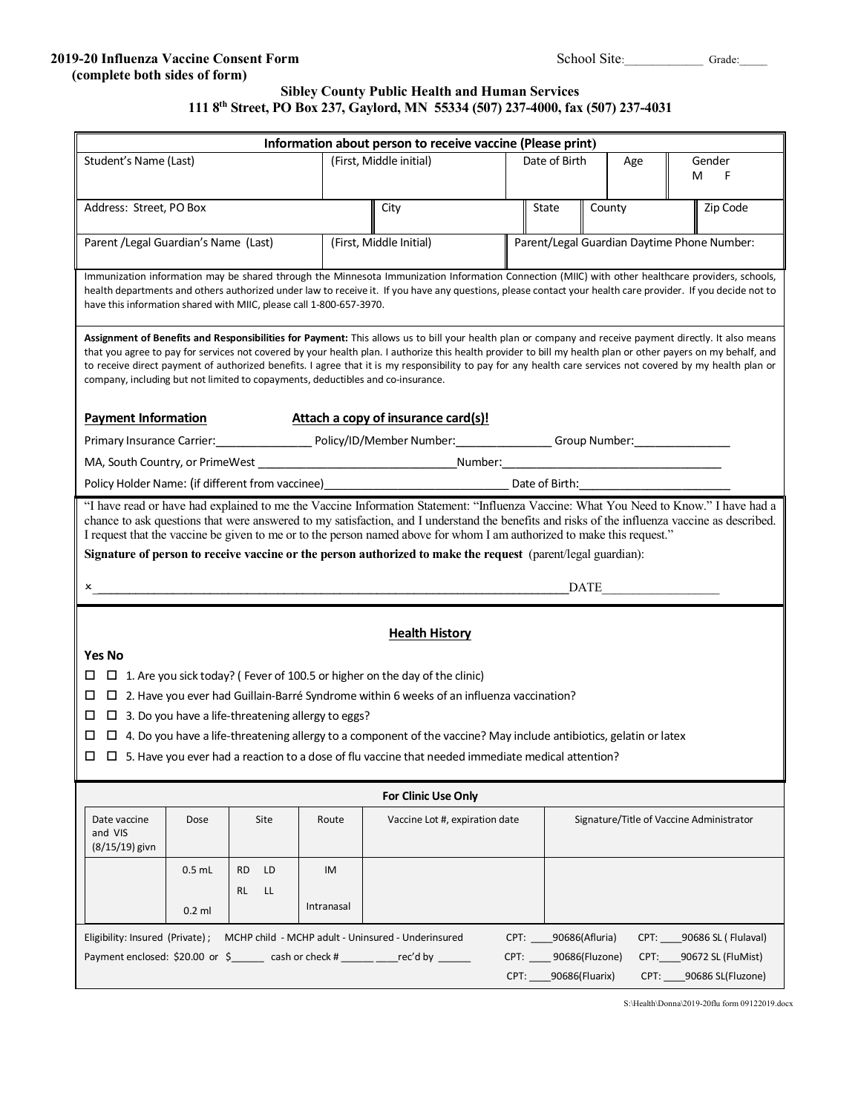#### **2019-20 Influenza Vaccine Consent Form** School Site:\_\_\_\_\_\_\_\_\_\_\_\_\_ Grade:\_  **(complete both sides of form)**

| School Site: |  |
|--------------|--|
|--------------|--|

## **Sibley County Public Health and Human Services 111 8th Street, PO Box 237, Gaylord, MN 55334 (507) 237-4000, fax (507) 237-4031**

| Information about person to receive vaccine (Please print)                                                                                                                                                                                                                                                                                                                                                                                                                                                                                                                                                                                                                                                                                                                                                |          |                 |            |                                |                                             |               |        |  |                                          |  |  |
|-----------------------------------------------------------------------------------------------------------------------------------------------------------------------------------------------------------------------------------------------------------------------------------------------------------------------------------------------------------------------------------------------------------------------------------------------------------------------------------------------------------------------------------------------------------------------------------------------------------------------------------------------------------------------------------------------------------------------------------------------------------------------------------------------------------|----------|-----------------|------------|--------------------------------|---------------------------------------------|---------------|--------|--|------------------------------------------|--|--|
| Student's Name (Last)                                                                                                                                                                                                                                                                                                                                                                                                                                                                                                                                                                                                                                                                                                                                                                                     |          |                 |            | (First, Middle initial)        |                                             | Date of Birth | Age    |  | Gender                                   |  |  |
|                                                                                                                                                                                                                                                                                                                                                                                                                                                                                                                                                                                                                                                                                                                                                                                                           |          |                 |            |                                |                                             |               |        |  | м<br>F                                   |  |  |
| Address: Street, PO Box                                                                                                                                                                                                                                                                                                                                                                                                                                                                                                                                                                                                                                                                                                                                                                                   |          |                 |            | City                           |                                             | State         | County |  | Zip Code                                 |  |  |
| Parent / Legal Guardian's Name (Last)                                                                                                                                                                                                                                                                                                                                                                                                                                                                                                                                                                                                                                                                                                                                                                     |          |                 |            | (First, Middle Initial)        | Parent/Legal Guardian Daytime Phone Number: |               |        |  |                                          |  |  |
| Immunization information may be shared through the Minnesota Immunization Information Connection (MIIC) with other healthcare providers, schools,<br>health departments and others authorized under law to receive it. If you have any questions, please contact your health care provider. If you decide not to<br>have this information shared with MIIC, please call 1-800-657-3970.                                                                                                                                                                                                                                                                                                                                                                                                                   |          |                 |            |                                |                                             |               |        |  |                                          |  |  |
| Assignment of Benefits and Responsibilities for Payment: This allows us to bill your health plan or company and receive payment directly. It also means<br>that you agree to pay for services not covered by your health plan. I authorize this health provider to bill my health plan or other payers on my behalf, and<br>to receive direct payment of authorized benefits. I agree that it is my responsibility to pay for any health care services not covered by my health plan or<br>company, including but not limited to copayments, deductibles and co-insurance.<br>Attach a copy of insurance card(s)!<br><b>Payment Information</b>                                                                                                                                                           |          |                 |            |                                |                                             |               |        |  |                                          |  |  |
|                                                                                                                                                                                                                                                                                                                                                                                                                                                                                                                                                                                                                                                                                                                                                                                                           |          |                 |            |                                |                                             |               |        |  |                                          |  |  |
|                                                                                                                                                                                                                                                                                                                                                                                                                                                                                                                                                                                                                                                                                                                                                                                                           |          |                 |            |                                |                                             |               |        |  |                                          |  |  |
|                                                                                                                                                                                                                                                                                                                                                                                                                                                                                                                                                                                                                                                                                                                                                                                                           |          |                 |            |                                |                                             |               |        |  |                                          |  |  |
| "I have read or have had explained to me the Vaccine Information Statement: "Influenza Vaccine: What You Need to Know." I have had a<br>chance to ask questions that were answered to my satisfaction, and I understand the benefits and risks of the influenza vaccine as described.<br>I request that the vaccine be given to me or to the person named above for whom I am authorized to make this request."<br>Signature of person to receive vaccine or the person authorized to make the request (parent/legal guardian):<br><b>DATE</b><br>x and the set of the set of the set of the set of the set of the set of the set of the set of the set of the set of the set of the set of the set of the set of the set of the set of the set of the set of the set of the set<br><b>Health History</b> |          |                 |            |                                |                                             |               |        |  |                                          |  |  |
| <b>Yes No</b>                                                                                                                                                                                                                                                                                                                                                                                                                                                                                                                                                                                                                                                                                                                                                                                             |          |                 |            |                                |                                             |               |        |  |                                          |  |  |
| $\Box$ 1. Are you sick today? (Fever of 100.5 or higher on the day of the clinic)<br>⊔                                                                                                                                                                                                                                                                                                                                                                                                                                                                                                                                                                                                                                                                                                                    |          |                 |            |                                |                                             |               |        |  |                                          |  |  |
| $\Box$ 2. Have you ever had Guillain-Barré Syndrome within 6 weeks of an influenza vaccination?<br>ப                                                                                                                                                                                                                                                                                                                                                                                                                                                                                                                                                                                                                                                                                                      |          |                 |            |                                |                                             |               |        |  |                                          |  |  |
| $\Box$ 3. Do you have a life-threatening allergy to eggs?<br>□                                                                                                                                                                                                                                                                                                                                                                                                                                                                                                                                                                                                                                                                                                                                            |          |                 |            |                                |                                             |               |        |  |                                          |  |  |
| $\Box$ 4. Do you have a life-threatening allergy to a component of the vaccine? May include antibiotics, gelatin or latex                                                                                                                                                                                                                                                                                                                                                                                                                                                                                                                                                                                                                                                                                 |          |                 |            |                                |                                             |               |        |  |                                          |  |  |
| $\Box$ $\Box$ 5. Have vou ever had a reaction to a dose of flu vaccine that needed immediate medical attention?                                                                                                                                                                                                                                                                                                                                                                                                                                                                                                                                                                                                                                                                                           |          |                 |            |                                |                                             |               |        |  |                                          |  |  |
| <b>For Clinic Use Only</b>                                                                                                                                                                                                                                                                                                                                                                                                                                                                                                                                                                                                                                                                                                                                                                                |          |                 |            |                                |                                             |               |        |  |                                          |  |  |
| Date vaccine<br>and VIS<br>$(8/15/19)$ givn                                                                                                                                                                                                                                                                                                                                                                                                                                                                                                                                                                                                                                                                                                                                                               | Dose     | Site            | Route      | Vaccine Lot #, expiration date |                                             |               |        |  | Signature/Title of Vaccine Administrator |  |  |
|                                                                                                                                                                                                                                                                                                                                                                                                                                                                                                                                                                                                                                                                                                                                                                                                           | $0.5$ mL | LD<br><b>RD</b> | IM         |                                |                                             |               |        |  |                                          |  |  |
|                                                                                                                                                                                                                                                                                                                                                                                                                                                                                                                                                                                                                                                                                                                                                                                                           | $0.2$ ml | LL<br>RL        | Intranasal |                                |                                             |               |        |  |                                          |  |  |
| MCHP child - MCHP adult - Uninsured - Underinsured<br>Eligibility: Insured (Private);<br>90686(Afluria)<br>90686 SL ( Flulaval)<br>CPT:<br>CPT:<br>Payment enclosed: \$20.00 or $\,$ \$ cash or check # _____ rec'd by<br>CPT: 90686(Fluzone)<br>CPT:<br>90672 SL (FluMist)<br>90686(Fluarix)<br>90686 SL(Fluzone)<br>CPT:<br>CPT:                                                                                                                                                                                                                                                                                                                                                                                                                                                                        |          |                 |            |                                |                                             |               |        |  |                                          |  |  |

S:\Health\Donna\2019-20flu form 09122019.docx